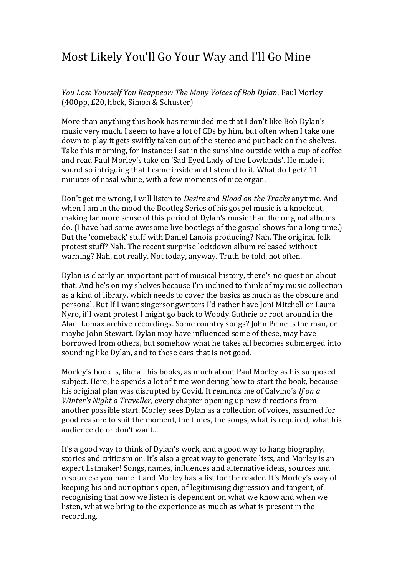## Most Likely You'll Go Your Way and I'll Go Mine

*You Lose Yourself You Reappear: The Many Voices of Bob Dylan*, Paul Morley (400pp, £20, hbck, Simon & Schuster)

More than anything this book has reminded me that I don't like Bob Dylan's music very much. I seem to have a lot of CDs by him, but often when I take one down to play it gets swiftly taken out of the stereo and put back on the shelves. Take this morning, for instance: I sat in the sunshine outside with a cup of coffee and read Paul Morley's take on 'Sad Eyed Lady of the Lowlands'. He made it sound so intriguing that I came inside and listened to it. What do I get? 11 minutes of nasal whine, with a few moments of nice organ.

Don't get me wrong, I will listen to *Desire* and *Blood on the Tracks* anytime. And when I am in the mood the Bootleg Series of his gospel music is a knockout, making far more sense of this period of Dylan's music than the original albums do. (I have had some awesome live bootlegs of the gospel shows for a long time.) But the 'comeback' stuff with Daniel Lanois producing? Nah. The original folk protest stuff? Nah. The recent surprise lockdown album released without warning? Nah, not really. Not today, anyway. Truth be told, not often.

Dylan is clearly an important part of musical history, there's no question about that. And he's on my shelves because I'm inclined to think of my music collection as a kind of library, which needs to cover the basics as much as the obscure and personal. But If I want singersongwriters I'd rather have Joni Mitchell or Laura Nyro, if I want protest I might go back to Woody Guthrie or root around in the Alan Lomax archive recordings. Some country songs? John Prine is the man, or maybe John Stewart. Dylan may have influenced some of these, may have borrowed from others, but somehow what he takes all becomes submerged into sounding like Dylan, and to these ears that is not good.

Morley's book is, like all his books, as much about Paul Morley as his supposed subject. Here, he spends a lot of time wondering how to start the book, because his original plan was disrupted by Covid. It reminds me of Calvino's *If on a Winter's Night a Traveller*, every chapter opening up new directions from another possible start. Morley sees Dylan as a collection of voices, assumed for good reason: to suit the moment, the times, the songs, what is required, what his audience do or don't want...

It's a good way to think of Dylan's work, and a good way to hang biography, stories and criticism on. It's also a great way to generate lists, and Morley is an expert listmaker! Songs, names, influences and alternative ideas, sources and resources: you name it and Morley has a list for the reader. It's Morley's way of keeping his and our options open, of legitimising digression and tangent, of recognising that how we listen is dependent on what we know and when we listen, what we bring to the experience as much as what is present in the recording.